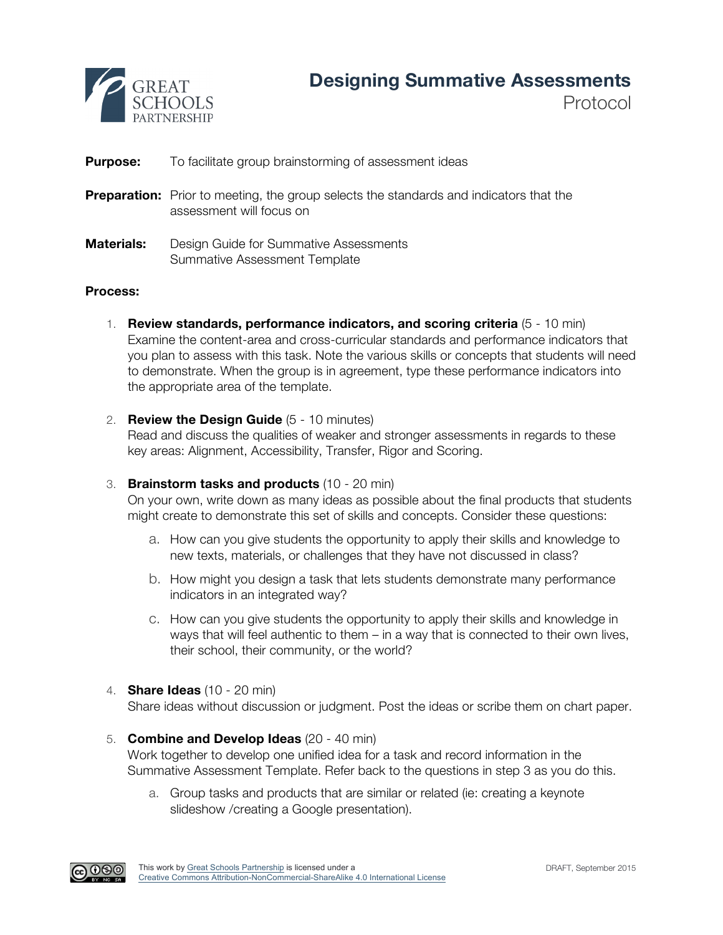

Protocol

## **Purpose:** To facilitate group brainstorming of assessment ideas

- **Preparation:** Prior to meeting, the group selects the standards and indicators that the assessment will focus on
- **Materials:** Design Guide for Summative Assessments Summative Assessment Template

## **Process:**

- 1. **Review standards, performance indicators, and scoring criteria** (5 10 min) Examine the content-area and cross-curricular standards and performance indicators that you plan to assess with this task. Note the various skills or concepts that students will need to demonstrate. When the group is in agreement, type these performance indicators into the appropriate area of the template.
- 2. **Review the Design Guide** (5 10 minutes)

Read and discuss the qualities of weaker and stronger assessments in regards to these key areas: Alignment, Accessibility, Transfer, Rigor and Scoring.

## 3. **Brainstorm tasks and products** (10 - 20 min)

On your own, write down as many ideas as possible about the final products that students might create to demonstrate this set of skills and concepts. Consider these questions:

- a. How can you give students the opportunity to apply their skills and knowledge to new texts, materials, or challenges that they have not discussed in class?
- b. How might you design a task that lets students demonstrate many performance indicators in an integrated way?
- c. How can you give students the opportunity to apply their skills and knowledge in ways that will feel authentic to them – in a way that is connected to their own lives, their school, their community, or the world?
- 4. **Share Ideas** (10 20 min)

Share ideas without discussion or judgment. Post the ideas or scribe them on chart paper.

- 5. **Combine and Develop Ideas** (20 40 min) Work together to develop one unified idea for a task and record information in the Summative Assessment Template. Refer back to the questions in step 3 as you do this.
	- a. Group tasks and products that are similar or related (ie: creating a keynote slideshow /creating a Google presentation).